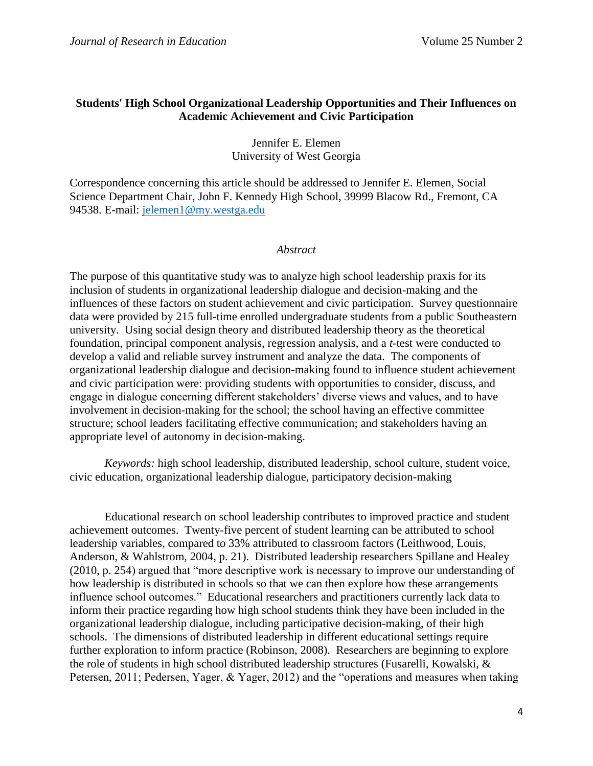# **Students' High School Organizational Leadership Opportunities and Their Influences on Academic Achievement and Civic Participation**

Jennifer E. Elemen University of West Georgia

Correspondence concerning this article should be addressed to Jennifer E. Elemen, Social Science Department Chair, John F. Kennedy High School, 39999 Blacow Rd., Fremont, CA 94538. E-mail: [jelemen1@my.westga.edu](mailto:jelemen1@my.westga.edu)

## *Abstract*

The purpose of this quantitative study was to analyze high school leadership praxis for its inclusion of students in organizational leadership dialogue and decision-making and the influences of these factors on student achievement and civic participation. Survey questionnaire data were provided by 215 full-time enrolled undergraduate students from a public Southeastern university. Using social design theory and distributed leadership theory as the theoretical foundation, principal component analysis, regression analysis, and a *t*-test were conducted to develop a valid and reliable survey instrument and analyze the data. The components of organizational leadership dialogue and decision-making found to influence student achievement and civic participation were: providing students with opportunities to consider, discuss, and engage in dialogue concerning different stakeholders' diverse views and values, and to have involvement in decision-making for the school; the school having an effective committee structure; school leaders facilitating effective communication; and stakeholders having an appropriate level of autonomy in decision-making.

*Keywords:* high school leadership, distributed leadership, school culture, student voice, civic education, organizational leadership dialogue, participatory decision-making

Educational research on school leadership contributes to improved practice and student achievement outcomes. Twenty-five percent of student learning can be attributed to school leadership variables, compared to 33% attributed to classroom factors (Leithwood, Louis, Anderson, & Wahlstrom, 2004, p. 21). Distributed leadership researchers Spillane and Healey (2010, p. 254) argued that "more descriptive work is necessary to improve our understanding of how leadership is distributed in schools so that we can then explore how these arrangements influence school outcomes." Educational researchers and practitioners currently lack data to inform their practice regarding how high school students think they have been included in the organizational leadership dialogue, including participative decision-making, of their high schools. The dimensions of distributed leadership in different educational settings require further exploration to inform practice (Robinson, 2008). Researchers are beginning to explore the role of students in high school distributed leadership structures (Fusarelli, Kowalski, & Petersen, 2011; Pedersen, Yager, & Yager, 2012) and the "operations and measures when taking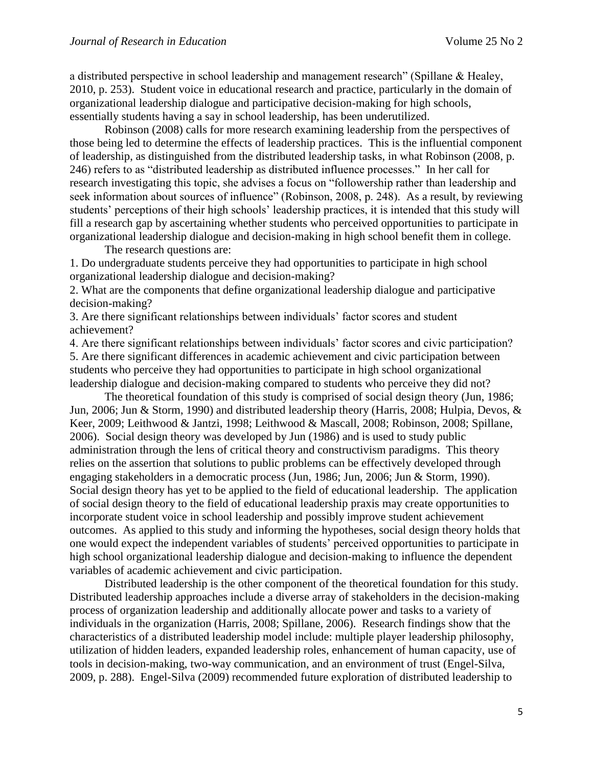a distributed perspective in school leadership and management research" (Spillane & Healey, 2010, p. 253). Student voice in educational research and practice, particularly in the domain of organizational leadership dialogue and participative decision-making for high schools, essentially students having a say in school leadership, has been underutilized.

Robinson (2008) calls for more research examining leadership from the perspectives of those being led to determine the effects of leadership practices. This is the influential component of leadership, as distinguished from the distributed leadership tasks, in what Robinson (2008, p. 246) refers to as "distributed leadership as distributed influence processes." In her call for research investigating this topic, she advises a focus on "followership rather than leadership and seek information about sources of influence" (Robinson, 2008, p. 248). As a result, by reviewing students' perceptions of their high schools' leadership practices, it is intended that this study will fill a research gap by ascertaining whether students who perceived opportunities to participate in organizational leadership dialogue and decision-making in high school benefit them in college.

The research questions are:

1. Do undergraduate students perceive they had opportunities to participate in high school organizational leadership dialogue and decision-making?

2. What are the components that define organizational leadership dialogue and participative decision-making?

3. Are there significant relationships between individuals' factor scores and student achievement?

4. Are there significant relationships between individuals' factor scores and civic participation? 5. Are there significant differences in academic achievement and civic participation between students who perceive they had opportunities to participate in high school organizational leadership dialogue and decision-making compared to students who perceive they did not?

The theoretical foundation of this study is comprised of social design theory (Jun, 1986; Jun, 2006; Jun & Storm, 1990) and distributed leadership theory (Harris, 2008; Hulpia, Devos, & Keer, 2009; Leithwood & Jantzi, 1998; Leithwood & Mascall, 2008; Robinson, 2008; Spillane, 2006). Social design theory was developed by Jun (1986) and is used to study public administration through the lens of critical theory and constructivism paradigms. This theory relies on the assertion that solutions to public problems can be effectively developed through engaging stakeholders in a democratic process (Jun, 1986; Jun, 2006; Jun & Storm, 1990). Social design theory has yet to be applied to the field of educational leadership. The application of social design theory to the field of educational leadership praxis may create opportunities to incorporate student voice in school leadership and possibly improve student achievement outcomes. As applied to this study and informing the hypotheses, social design theory holds that one would expect the independent variables of students' perceived opportunities to participate in high school organizational leadership dialogue and decision-making to influence the dependent variables of academic achievement and civic participation.

Distributed leadership is the other component of the theoretical foundation for this study. Distributed leadership approaches include a diverse array of stakeholders in the decision-making process of organization leadership and additionally allocate power and tasks to a variety of individuals in the organization (Harris, 2008; Spillane, 2006). Research findings show that the characteristics of a distributed leadership model include: multiple player leadership philosophy, utilization of hidden leaders, expanded leadership roles, enhancement of human capacity, use of tools in decision-making, two-way communication, and an environment of trust (Engel-Silva, 2009, p. 288). Engel-Silva (2009) recommended future exploration of distributed leadership to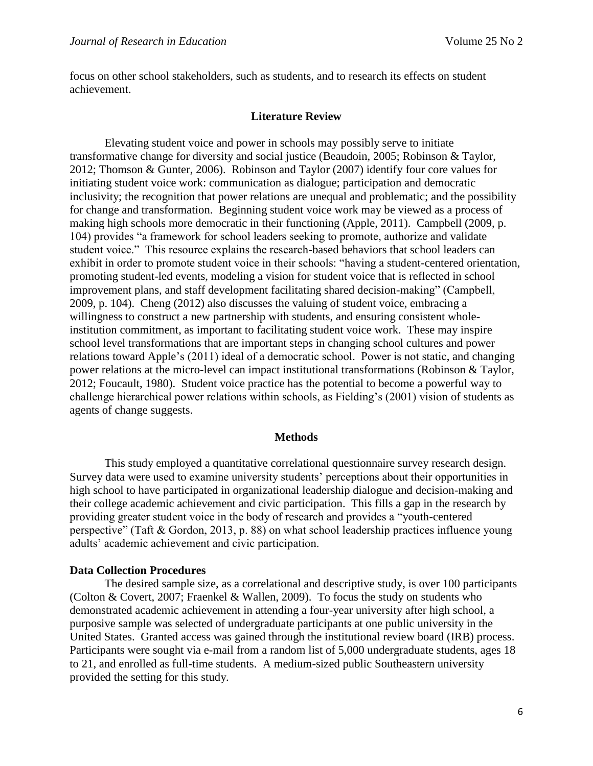focus on other school stakeholders, such as students, and to research its effects on student achievement.

#### **Literature Review**

Elevating student voice and power in schools may possibly serve to initiate transformative change for diversity and social justice (Beaudoin, 2005; Robinson & Taylor, 2012; Thomson & Gunter, 2006). Robinson and Taylor (2007) identify four core values for initiating student voice work: communication as dialogue; participation and democratic inclusivity; the recognition that power relations are unequal and problematic; and the possibility for change and transformation. Beginning student voice work may be viewed as a process of making high schools more democratic in their functioning (Apple, 2011). Campbell (2009, p. 104) provides "a framework for school leaders seeking to promote, authorize and validate student voice." This resource explains the research-based behaviors that school leaders can exhibit in order to promote student voice in their schools: "having a student-centered orientation, promoting student-led events, modeling a vision for student voice that is reflected in school improvement plans, and staff development facilitating shared decision-making" (Campbell, 2009, p. 104). Cheng (2012) also discusses the valuing of student voice, embracing a willingness to construct a new partnership with students, and ensuring consistent wholeinstitution commitment, as important to facilitating student voice work. These may inspire school level transformations that are important steps in changing school cultures and power relations toward Apple's (2011) ideal of a democratic school. Power is not static, and changing power relations at the micro-level can impact institutional transformations (Robinson & Taylor, 2012; Foucault, 1980). Student voice practice has the potential to become a powerful way to challenge hierarchical power relations within schools, as Fielding's (2001) vision of students as agents of change suggests.

#### **Methods**

This study employed a quantitative correlational questionnaire survey research design. Survey data were used to examine university students' perceptions about their opportunities in high school to have participated in organizational leadership dialogue and decision-making and their college academic achievement and civic participation. This fills a gap in the research by providing greater student voice in the body of research and provides a "youth-centered perspective" (Taft & Gordon, 2013, p. 88) on what school leadership practices influence young adults' academic achievement and civic participation.

## **Data Collection Procedures**

The desired sample size, as a correlational and descriptive study, is over 100 participants (Colton & Covert, 2007; Fraenkel & Wallen, 2009). To focus the study on students who demonstrated academic achievement in attending a four-year university after high school, a purposive sample was selected of undergraduate participants at one public university in the United States. Granted access was gained through the institutional review board (IRB) process. Participants were sought via e-mail from a random list of 5,000 undergraduate students, ages 18 to 21, and enrolled as full-time students. A medium-sized public Southeastern university provided the setting for this study.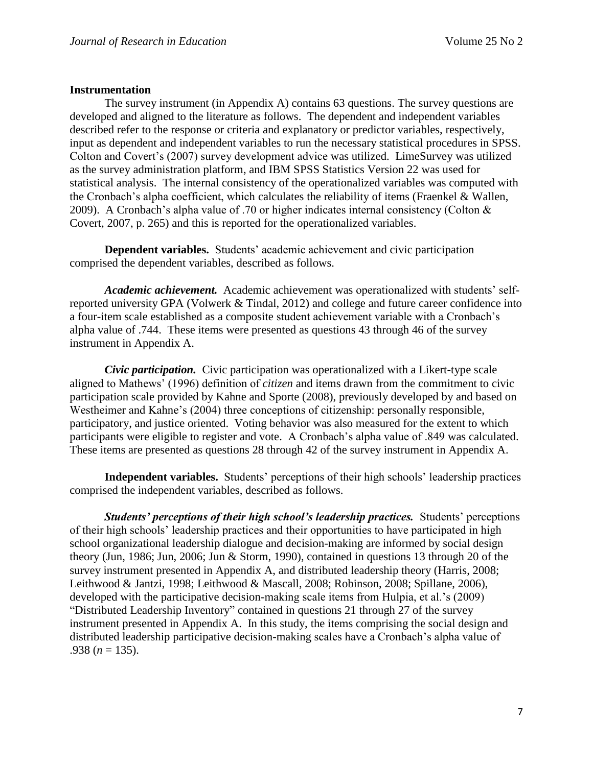### **Instrumentation**

The survey instrument (in Appendix A) contains 63 questions. The survey questions are developed and aligned to the literature as follows. The dependent and independent variables described refer to the response or criteria and explanatory or predictor variables, respectively, input as dependent and independent variables to run the necessary statistical procedures in SPSS. Colton and Covert's (2007) survey development advice was utilized. LimeSurvey was utilized as the survey administration platform, and IBM SPSS Statistics Version 22 was used for statistical analysis. The internal consistency of the operationalized variables was computed with the Cronbach's alpha coefficient, which calculates the reliability of items (Fraenkel & Wallen, 2009). A Cronbach's alpha value of .70 or higher indicates internal consistency (Colton & Covert, 2007, p. 265) and this is reported for the operationalized variables.

**Dependent variables.** Students' academic achievement and civic participation comprised the dependent variables, described as follows.

*Academic achievement.* Academic achievement was operationalized with students' selfreported university GPA (Volwerk & Tindal, 2012) and college and future career confidence into a four-item scale established as a composite student achievement variable with a Cronbach's alpha value of .744. These items were presented as questions 43 through 46 of the survey instrument in Appendix A.

*Civic participation.*Civic participation was operationalized with a Likert-type scale aligned to Mathews' (1996) definition of *citizen* and items drawn from the commitment to civic participation scale provided by Kahne and Sporte (2008), previously developed by and based on Westheimer and Kahne's (2004) three conceptions of citizenship: personally responsible, participatory, and justice oriented. Voting behavior was also measured for the extent to which participants were eligible to register and vote. A Cronbach's alpha value of .849 was calculated. These items are presented as questions 28 through 42 of the survey instrument in Appendix A.

**Independent variables.** Students' perceptions of their high schools' leadership practices comprised the independent variables, described as follows.

*Students' perceptions of their high school's leadership practices.*Students' perceptions of their high schools' leadership practices and their opportunities to have participated in high school organizational leadership dialogue and decision-making are informed by social design theory (Jun, 1986; Jun, 2006; Jun & Storm, 1990), contained in questions 13 through 20 of the survey instrument presented in Appendix A, and distributed leadership theory (Harris, 2008; Leithwood & Jantzi, 1998; Leithwood & Mascall, 2008; Robinson, 2008; Spillane, 2006), developed with the participative decision-making scale items from Hulpia, et al.'s (2009) "Distributed Leadership Inventory" contained in questions 21 through 27 of the survey instrument presented in Appendix A. In this study, the items comprising the social design and distributed leadership participative decision-making scales have a Cronbach's alpha value of .938 ( $n = 135$ ).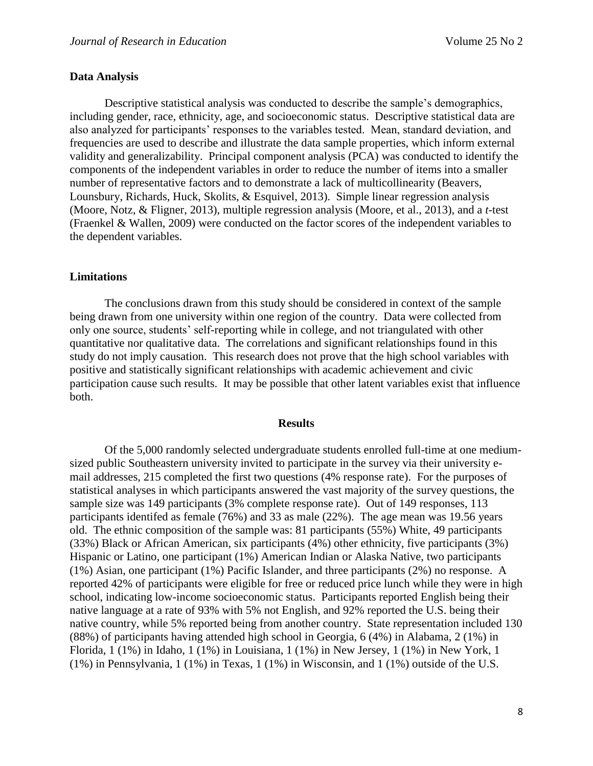#### **Data Analysis**

Descriptive statistical analysis was conducted to describe the sample's demographics, including gender, race, ethnicity, age, and socioeconomic status. Descriptive statistical data are also analyzed for participants' responses to the variables tested. Mean, standard deviation, and frequencies are used to describe and illustrate the data sample properties, which inform external validity and generalizability. Principal component analysis (PCA) was conducted to identify the components of the independent variables in order to reduce the number of items into a smaller number of representative factors and to demonstrate a lack of multicollinearity (Beavers, Lounsbury, Richards, Huck, Skolits, & Esquivel, 2013). Simple linear regression analysis (Moore, Notz, & Fligner, 2013), multiple regression analysis (Moore, et al., 2013), and a *t*-test (Fraenkel & Wallen, 2009) were conducted on the factor scores of the independent variables to the dependent variables.

#### **Limitations**

The conclusions drawn from this study should be considered in context of the sample being drawn from one university within one region of the country. Data were collected from only one source, students' self-reporting while in college, and not triangulated with other quantitative nor qualitative data. The correlations and significant relationships found in this study do not imply causation. This research does not prove that the high school variables with positive and statistically significant relationships with academic achievement and civic participation cause such results. It may be possible that other latent variables exist that influence both.

#### **Results**

Of the 5,000 randomly selected undergraduate students enrolled full-time at one mediumsized public Southeastern university invited to participate in the survey via their university email addresses, 215 completed the first two questions (4% response rate). For the purposes of statistical analyses in which participants answered the vast majority of the survey questions, the sample size was 149 participants (3% complete response rate). Out of 149 responses, 113 participants identifed as female (76%) and 33 as male (22%). The age mean was 19.56 years old. The ethnic composition of the sample was: 81 participants (55%) White, 49 participants (33%) Black or African American, six participants (4%) other ethnicity, five participants (3%) Hispanic or Latino, one participant (1%) American Indian or Alaska Native, two participants (1%) Asian, one participant (1%) Pacific Islander, and three participants (2%) no response. A reported 42% of participants were eligible for free or reduced price lunch while they were in high school, indicating low-income socioeconomic status. Participants reported English being their native language at a rate of 93% with 5% not English, and 92% reported the U.S. being their native country, while 5% reported being from another country. State representation included 130 (88%) of participants having attended high school in Georgia, 6 (4%) in Alabama, 2 (1%) in Florida, 1 (1%) in Idaho, 1 (1%) in Louisiana, 1 (1%) in New Jersey, 1 (1%) in New York, 1 (1%) in Pennsylvania, 1 (1%) in Texas, 1 (1%) in Wisconsin, and 1 (1%) outside of the U.S.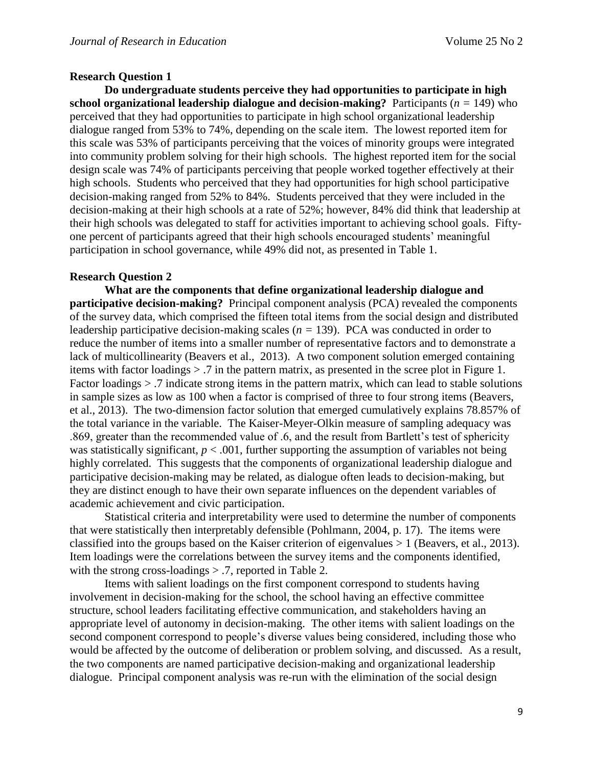## **Research Question 1**

**Do undergraduate students perceive they had opportunities to participate in high school organizational leadership dialogue and decision-making?** Participants ( $n = 149$ ) who perceived that they had opportunities to participate in high school organizational leadership dialogue ranged from 53% to 74%, depending on the scale item. The lowest reported item for this scale was 53% of participants perceiving that the voices of minority groups were integrated into community problem solving for their high schools. The highest reported item for the social design scale was 74% of participants perceiving that people worked together effectively at their high schools. Students who perceived that they had opportunities for high school participative decision-making ranged from 52% to 84%. Students perceived that they were included in the decision-making at their high schools at a rate of 52%; however, 84% did think that leadership at their high schools was delegated to staff for activities important to achieving school goals. Fiftyone percent of participants agreed that their high schools encouraged students' meaningful participation in school governance, while 49% did not, as presented in Table 1.

## **Research Question 2**

**What are the components that define organizational leadership dialogue and participative decision-making?** Principal component analysis (PCA) revealed the components of the survey data, which comprised the fifteen total items from the social design and distributed leadership participative decision-making scales (*n =* 139). PCA was conducted in order to reduce the number of items into a smaller number of representative factors and to demonstrate a lack of multicollinearity (Beavers et al., 2013). A two component solution emerged containing items with factor loadings > .7 in the pattern matrix, as presented in the scree plot in Figure 1. Factor loadings > .7 indicate strong items in the pattern matrix, which can lead to stable solutions in sample sizes as low as 100 when a factor is comprised of three to four strong items (Beavers, et al., 2013). The two-dimension factor solution that emerged cumulatively explains 78.857% of the total variance in the variable. The Kaiser-Meyer-Olkin measure of sampling adequacy was .869, greater than the recommended value of .6, and the result from Bartlett's test of sphericity was statistically significant,  $p < .001$ , further supporting the assumption of variables not being highly correlated. This suggests that the components of organizational leadership dialogue and participative decision-making may be related, as dialogue often leads to decision-making, but they are distinct enough to have their own separate influences on the dependent variables of academic achievement and civic participation.

Statistical criteria and interpretability were used to determine the number of components that were statistically then interpretably defensible (Pohlmann, 2004, p. 17). The items were classified into the groups based on the Kaiser criterion of eigenvalues > 1 (Beavers, et al., 2013). Item loadings were the correlations between the survey items and the components identified, with the strong cross-loadings  $> .7$ , reported in Table 2.

Items with salient loadings on the first component correspond to students having involvement in decision-making for the school, the school having an effective committee structure, school leaders facilitating effective communication, and stakeholders having an appropriate level of autonomy in decision-making. The other items with salient loadings on the second component correspond to people's diverse values being considered, including those who would be affected by the outcome of deliberation or problem solving, and discussed. As a result, the two components are named participative decision-making and organizational leadership dialogue. Principal component analysis was re-run with the elimination of the social design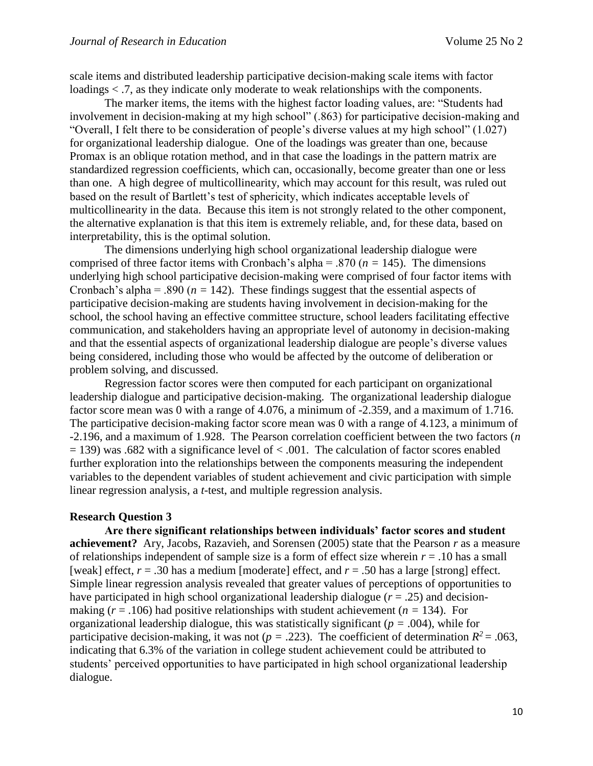scale items and distributed leadership participative decision-making scale items with factor loadings < .7, as they indicate only moderate to weak relationships with the components.

The marker items, the items with the highest factor loading values, are: "Students had involvement in decision-making at my high school" (.863) for participative decision-making and "Overall, I felt there to be consideration of people's diverse values at my high school" (1.027) for organizational leadership dialogue. One of the loadings was greater than one, because Promax is an oblique rotation method, and in that case the loadings in the pattern matrix are standardized regression coefficients, which can, occasionally, become greater than one or less than one. A high degree of multicollinearity, which may account for this result, was ruled out based on the result of Bartlett's test of sphericity, which indicates acceptable levels of multicollinearity in the data. Because this item is not strongly related to the other component, the alternative explanation is that this item is extremely reliable, and, for these data, based on interpretability, this is the optimal solution.

The dimensions underlying high school organizational leadership dialogue were comprised of three factor items with Cronbach's alpha = .870 ( $n = 145$ ). The dimensions underlying high school participative decision-making were comprised of four factor items with Cronbach's alpha = .890 ( $n = 142$ ). These findings suggest that the essential aspects of participative decision-making are students having involvement in decision-making for the school, the school having an effective committee structure, school leaders facilitating effective communication, and stakeholders having an appropriate level of autonomy in decision-making and that the essential aspects of organizational leadership dialogue are people's diverse values being considered, including those who would be affected by the outcome of deliberation or problem solving, and discussed.

Regression factor scores were then computed for each participant on organizational leadership dialogue and participative decision-making. The organizational leadership dialogue factor score mean was 0 with a range of 4.076, a minimum of -2.359, and a maximum of 1.716. The participative decision-making factor score mean was 0 with a range of 4.123, a minimum of -2.196, and a maximum of 1.928. The Pearson correlation coefficient between the two factors (*n*   $= 139$ ) was .682 with a significance level of  $< .001$ . The calculation of factor scores enabled further exploration into the relationships between the components measuring the independent variables to the dependent variables of student achievement and civic participation with simple linear regression analysis, a *t-*test, and multiple regression analysis.

#### **Research Question 3**

**Are there significant relationships between individuals' factor scores and student achievement?** Ary, Jacobs, Razavieh, and Sorensen (2005) state that the Pearson *r* as a measure of relationships independent of sample size is a form of effect size wherein  $r = .10$  has a small [weak] effect,  $r = .30$  has a medium [moderate] effect, and  $r = .50$  has a large [strong] effect. Simple linear regression analysis revealed that greater values of perceptions of opportunities to have participated in high school organizational leadership dialogue  $(r = .25)$  and decisionmaking  $(r = .106)$  had positive relationships with student achievement  $(n = 134)$ . For organizational leadership dialogue, this was statistically significant (*p =* .004), while for participative decision-making, it was not ( $p = .223$ ). The coefficient of determination  $R^2 = .063$ , indicating that 6.3% of the variation in college student achievement could be attributed to students' perceived opportunities to have participated in high school organizational leadership dialogue.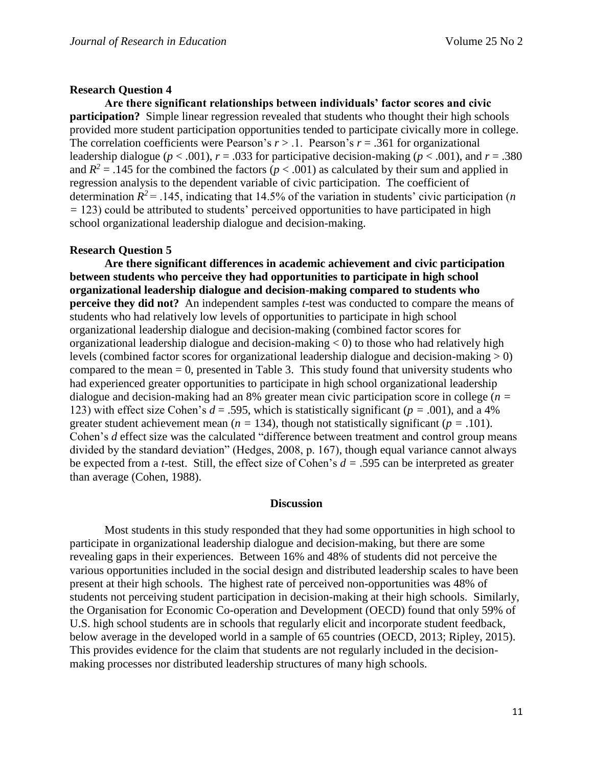## **Research Question 4**

**Are there significant relationships between individuals' factor scores and civic participation?** Simple linear regression revealed that students who thought their high schools provided more student participation opportunities tended to participate civically more in college. The correlation coefficients were Pearson's  $r > 0.1$ . Pearson's  $r = 0.361$  for organizational leadership dialogue ( $p < .001$ ),  $r = .033$  for participative decision-making ( $p < .001$ ), and  $r = .380$ and  $R^2 = 0.145$  for the combined the factors ( $p < 0.001$ ) as calculated by their sum and applied in regression analysis to the dependent variable of civic participation. The coefficient of determination  $R^2$  = .145, indicating that 14.5% of the variation in students' civic participation (*n =* 123) could be attributed to students' perceived opportunities to have participated in high school organizational leadership dialogue and decision-making.

# **Research Question 5**

**Are there significant differences in academic achievement and civic participation between students who perceive they had opportunities to participate in high school organizational leadership dialogue and decision-making compared to students who perceive they did not?** An independent samples *t*-test was conducted to compare the means of students who had relatively low levels of opportunities to participate in high school organizational leadership dialogue and decision-making (combined factor scores for organizational leadership dialogue and decision-making  $<$  0) to those who had relatively high levels (combined factor scores for organizational leadership dialogue and decision-making  $> 0$ ) compared to the mean  $= 0$ , presented in Table 3. This study found that university students who had experienced greater opportunities to participate in high school organizational leadership dialogue and decision-making had an 8% greater mean civic participation score in college (*n =*  123) with effect size Cohen's  $d = 0.595$ , which is statistically significant ( $p = 0.001$ ), and a 4% greater student achievement mean ( $n = 134$ ), though not statistically significant ( $p = .101$ ). Cohen's *d* effect size was the calculated "difference between treatment and control group means divided by the standard deviation" (Hedges, 2008, p. 167), though equal variance cannot always be expected from a *t*-test. Still, the effect size of Cohen's *d =* .595 can be interpreted as greater than average (Cohen, 1988).

## **Discussion**

Most students in this study responded that they had some opportunities in high school to participate in organizational leadership dialogue and decision-making, but there are some revealing gaps in their experiences. Between 16% and 48% of students did not perceive the various opportunities included in the social design and distributed leadership scales to have been present at their high schools. The highest rate of perceived non-opportunities was 48% of students not perceiving student participation in decision-making at their high schools. Similarly, the Organisation for Economic Co-operation and Development (OECD) found that only 59% of U.S. high school students are in schools that regularly elicit and incorporate student feedback, below average in the developed world in a sample of 65 countries (OECD, 2013; Ripley, 2015). This provides evidence for the claim that students are not regularly included in the decisionmaking processes nor distributed leadership structures of many high schools.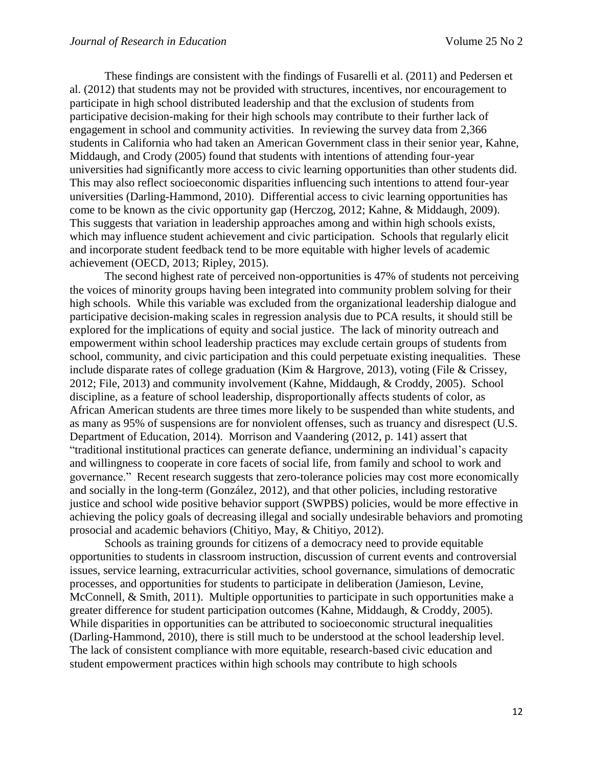These findings are consistent with the findings of Fusarelli et al. (2011) and Pedersen et al. (2012) that students may not be provided with structures, incentives, nor encouragement to participate in high school distributed leadership and that the exclusion of students from participative decision-making for their high schools may contribute to their further lack of engagement in school and community activities. In reviewing the survey data from 2,366 students in California who had taken an American Government class in their senior year, Kahne, Middaugh, and Crody (2005) found that students with intentions of attending four-year universities had significantly more access to civic learning opportunities than other students did. This may also reflect socioeconomic disparities influencing such intentions to attend four-year universities (Darling-Hammond, 2010). Differential access to civic learning opportunities has come to be known as the civic opportunity gap (Herczog, 2012; Kahne, & Middaugh, 2009). This suggests that variation in leadership approaches among and within high schools exists, which may influence student achievement and civic participation. Schools that regularly elicit and incorporate student feedback tend to be more equitable with higher levels of academic achievement (OECD, 2013; Ripley, 2015).

The second highest rate of perceived non-opportunities is 47% of students not perceiving the voices of minority groups having been integrated into community problem solving for their high schools. While this variable was excluded from the organizational leadership dialogue and participative decision-making scales in regression analysis due to PCA results, it should still be explored for the implications of equity and social justice. The lack of minority outreach and empowerment within school leadership practices may exclude certain groups of students from school, community, and civic participation and this could perpetuate existing inequalities. These include disparate rates of college graduation (Kim & Hargrove, 2013), voting (File & Crissey, 2012; File, 2013) and community involvement (Kahne, Middaugh, & Croddy, 2005). School discipline, as a feature of school leadership, disproportionally affects students of color, as African American students are three times more likely to be suspended than white students, and as many as 95% of suspensions are for nonviolent offenses, such as truancy and disrespect (U.S. Department of Education, 2014). Morrison and Vaandering (2012, p. 141) assert that "traditional institutional practices can generate defiance, undermining an individual's capacity and willingness to cooperate in core facets of social life, from family and school to work and governance." Recent research suggests that zero-tolerance policies may cost more economically and socially in the long-term (González, 2012), and that other policies, including restorative justice and school wide positive behavior support (SWPBS) policies, would be more effective in achieving the policy goals of decreasing illegal and socially undesirable behaviors and promoting prosocial and academic behaviors (Chitiyo, May, & Chitiyo, 2012).

Schools as training grounds for citizens of a democracy need to provide equitable opportunities to students in classroom instruction, discussion of current events and controversial issues, service learning, extracurricular activities, school governance, simulations of democratic processes, and opportunities for students to participate in deliberation (Jamieson, Levine, McConnell, & Smith, 2011). Multiple opportunities to participate in such opportunities make a greater difference for student participation outcomes (Kahne, Middaugh, & Croddy, 2005). While disparities in opportunities can be attributed to socioeconomic structural inequalities (Darling-Hammond, 2010), there is still much to be understood at the school leadership level. The lack of consistent compliance with more equitable, research-based civic education and student empowerment practices within high schools may contribute to high schools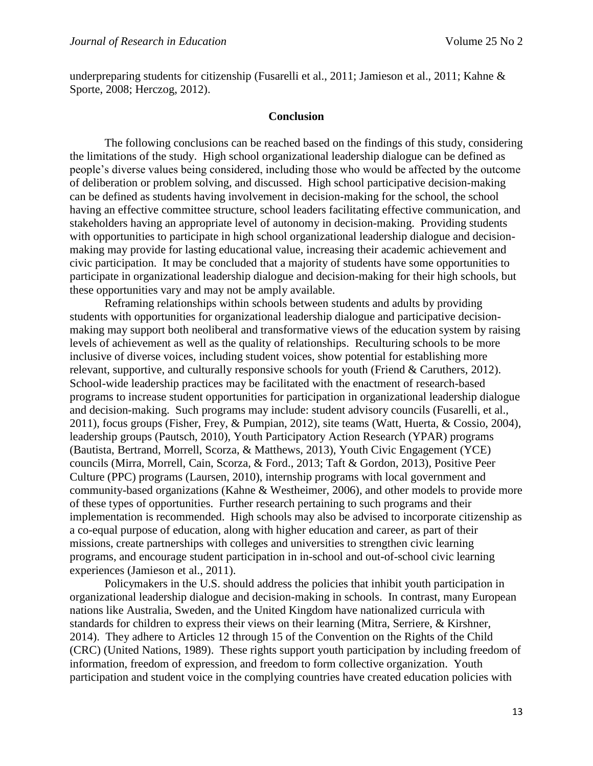underpreparing students for citizenship (Fusarelli et al., 2011; Jamieson et al., 2011; Kahne & Sporte, 2008; Herczog, 2012).

#### **Conclusion**

The following conclusions can be reached based on the findings of this study, considering the limitations of the study. High school organizational leadership dialogue can be defined as people's diverse values being considered, including those who would be affected by the outcome of deliberation or problem solving, and discussed. High school participative decision-making can be defined as students having involvement in decision-making for the school, the school having an effective committee structure, school leaders facilitating effective communication, and stakeholders having an appropriate level of autonomy in decision-making. Providing students with opportunities to participate in high school organizational leadership dialogue and decisionmaking may provide for lasting educational value, increasing their academic achievement and civic participation. It may be concluded that a majority of students have some opportunities to participate in organizational leadership dialogue and decision-making for their high schools, but these opportunities vary and may not be amply available.

Reframing relationships within schools between students and adults by providing students with opportunities for organizational leadership dialogue and participative decisionmaking may support both neoliberal and transformative views of the education system by raising levels of achievement as well as the quality of relationships. Reculturing schools to be more inclusive of diverse voices, including student voices, show potential for establishing more relevant, supportive, and culturally responsive schools for youth (Friend & Caruthers, 2012). School-wide leadership practices may be facilitated with the enactment of research-based programs to increase student opportunities for participation in organizational leadership dialogue and decision-making. Such programs may include: student advisory councils (Fusarelli, et al., 2011), focus groups (Fisher, Frey, & Pumpian, 2012), site teams (Watt, Huerta, & Cossio, 2004), leadership groups (Pautsch, 2010), Youth Participatory Action Research (YPAR) programs (Bautista, Bertrand, Morrell, Scorza, & Matthews, 2013), Youth Civic Engagement (YCE) councils (Mirra, Morrell, Cain, Scorza, & Ford., 2013; Taft & Gordon, 2013), Positive Peer Culture (PPC) programs (Laursen, 2010), internship programs with local government and community-based organizations (Kahne & Westheimer, 2006), and other models to provide more of these types of opportunities. Further research pertaining to such programs and their implementation is recommended. High schools may also be advised to incorporate citizenship as a co-equal purpose of education, along with higher education and career, as part of their missions, create partnerships with colleges and universities to strengthen civic learning programs, and encourage student participation in in-school and out-of-school civic learning experiences (Jamieson et al., 2011).

Policymakers in the U.S. should address the policies that inhibit youth participation in organizational leadership dialogue and decision-making in schools. In contrast, many European nations like Australia, Sweden, and the United Kingdom have nationalized curricula with standards for children to express their views on their learning (Mitra, Serriere, & Kirshner, 2014). They adhere to Articles 12 through 15 of the Convention on the Rights of the Child (CRC) (United Nations, 1989). These rights support youth participation by including freedom of information, freedom of expression, and freedom to form collective organization. Youth participation and student voice in the complying countries have created education policies with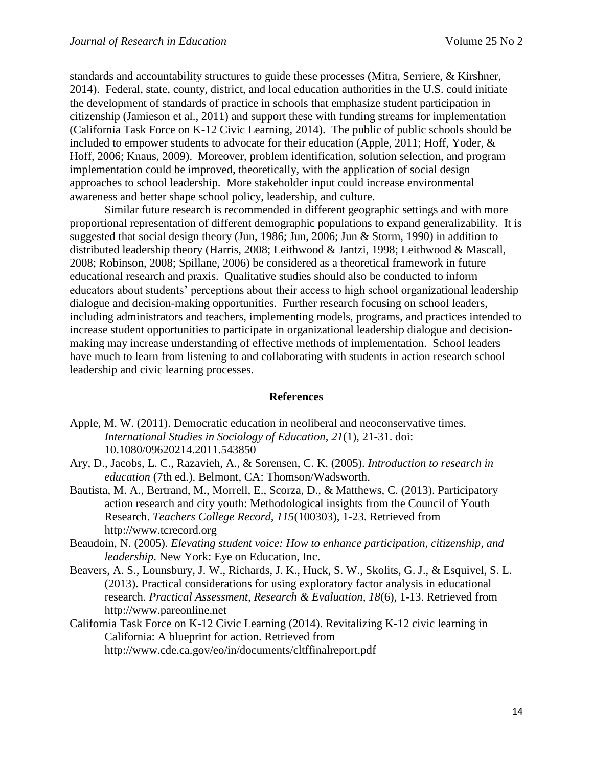standards and accountability structures to guide these processes (Mitra, Serriere, & Kirshner, 2014). Federal, state, county, district, and local education authorities in the U.S. could initiate the development of standards of practice in schools that emphasize student participation in citizenship (Jamieson et al., 2011) and support these with funding streams for implementation (California Task Force on K-12 Civic Learning, 2014). The public of public schools should be included to empower students to advocate for their education (Apple, 2011; Hoff, Yoder, & Hoff, 2006; Knaus, 2009). Moreover, problem identification, solution selection, and program implementation could be improved, theoretically, with the application of social design approaches to school leadership. More stakeholder input could increase environmental awareness and better shape school policy, leadership, and culture.

Similar future research is recommended in different geographic settings and with more proportional representation of different demographic populations to expand generalizability. It is suggested that social design theory (Jun, 1986; Jun, 2006; Jun & Storm, 1990) in addition to distributed leadership theory (Harris, 2008; Leithwood & Jantzi, 1998; Leithwood & Mascall, 2008; Robinson, 2008; Spillane, 2006) be considered as a theoretical framework in future educational research and praxis. Qualitative studies should also be conducted to inform educators about students' perceptions about their access to high school organizational leadership dialogue and decision-making opportunities. Further research focusing on school leaders, including administrators and teachers, implementing models, programs, and practices intended to increase student opportunities to participate in organizational leadership dialogue and decisionmaking may increase understanding of effective methods of implementation. School leaders have much to learn from listening to and collaborating with students in action research school leadership and civic learning processes.

## **References**

- Apple, M. W. (2011). Democratic education in neoliberal and neoconservative times. *International Studies in Sociology of Education*, *21*(1), 21-31. doi: 10.1080/09620214.2011.543850
- Ary, D., Jacobs, L. C., Razavieh, A., & Sorensen, C. K. (2005). *Introduction to research in education* (7th ed.). Belmont, CA: Thomson/Wadsworth.
- Bautista, M. A., Bertrand, M., Morrell, E., Scorza, D., & Matthews, C. (2013). Participatory action research and city youth: Methodological insights from the Council of Youth Research. *Teachers College Record, 115*(100303), 1-23. Retrieved from http://www.tcrecord.org
- Beaudoin, N. (2005). *Elevating student voice: How to enhance participation, citizenship, and leadership*. New York: Eye on Education, Inc.
- Beavers, A. S., Lounsbury, J. W., Richards, J. K., Huck, S. W., Skolits, G. J., & Esquivel, S. L. (2013). Practical considerations for using exploratory factor analysis in educational research. *Practical Assessment, Research & Evaluation, 18*(6), 1-13. Retrieved from http://www.pareonline.net
- California Task Force on K-12 Civic Learning (2014). Revitalizing K-12 civic learning in California: A blueprint for action. Retrieved from http://www.cde.ca.gov/eo/in/documents/cltffinalreport.pdf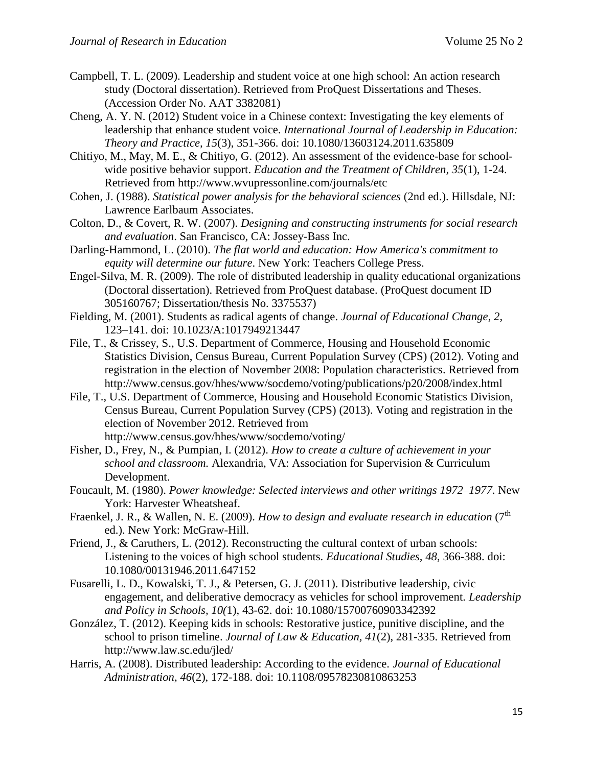- Campbell, T. L. (2009). Leadership and student voice at one high school: An action research study (Doctoral dissertation). Retrieved from ProQuest Dissertations and Theses. (Accession Order No. AAT 3382081)
- Cheng, A. Y. N. (2012) Student voice in a Chinese context: Investigating the key elements of leadership that enhance student voice. *International Journal of Leadership in Education: Theory and Practice, 15*(3), 351-366. doi: 10.1080/13603124.2011.635809
- Chitiyo, M., May, M. E., & Chitiyo, G. (2012). An assessment of the evidence-base for schoolwide positive behavior support. *Education and the Treatment of Children, 35*(1), 1-24. Retrieved from http://www.wvupressonline.com/journals/etc
- Cohen, J. (1988). *Statistical power analysis for the behavioral sciences* (2nd ed.). Hillsdale, NJ: Lawrence Earlbaum Associates.
- Colton, D., & Covert, R. W. (2007). *Designing and constructing instruments for social research and evaluation*. San Francisco, CA: Jossey-Bass Inc.
- Darling-Hammond, L. (2010). *The flat world and education: How America's commitment to equity will determine our future*. New York: Teachers College Press.
- Engel-Silva, M. R. (2009). The role of distributed leadership in quality educational organizations (Doctoral dissertation). Retrieved from ProQuest database. (ProQuest document ID 305160767; Dissertation/thesis No. 3375537)
- Fielding, M. (2001). Students as radical agents of change. *Journal of Educational Change*, *2*, 123–141. doi: 10.1023/A:1017949213447
- File, T., & Crissey, S., U.S. Department of Commerce, Housing and Household Economic Statistics Division, Census Bureau, Current Population Survey (CPS) (2012). Voting and registration in the election of November 2008: Population characteristics. Retrieved from http://www.census.gov/hhes/www/socdemo/voting/publications/p20/2008/index.html
- File, T., U.S. Department of Commerce, Housing and Household Economic Statistics Division, Census Bureau, Current Population Survey (CPS) (2013). Voting and registration in the election of November 2012. Retrieved from <http://www.census.gov/hhes/www/socdemo/voting/>
- Fisher, D., Frey, N., & Pumpian, I. (2012). *How to create a culture of achievement in your school and classroom.* Alexandria, VA: Association for Supervision & Curriculum Development.
- Foucault, M. (1980). *Power knowledge: Selected interviews and other writings 1972–1977*. New York: Harvester Wheatsheaf.
- Fraenkel, J. R., & Wallen, N. E. (2009). *How to design and evaluate research in education* (7th ed.). New York: McGraw-Hill.
- Friend, J., & Caruthers, L. (2012). Reconstructing the cultural context of urban schools: Listening to the voices of high school students. *Educational Studies, 48*, 366-388. doi: 10.1080/00131946.2011.647152
- Fusarelli, L. D., Kowalski, T. J., & Petersen, G. J. (2011). Distributive leadership, civic engagement, and deliberative democracy as vehicles for school improvement. *Leadership and Policy in Schools, 10(*1), 43-62. doi: 10.1080/15700760903342392
- González, T. (2012). Keeping kids in schools: Restorative justice, punitive discipline, and the school to prison timeline. *Journal of Law & Education, 41*(2), 281-335. Retrieved from http://www.law.sc.edu/jled/
- Harris, A. (2008). Distributed leadership: According to the evidence. *Journal of Educational Administration, 46*(2), 172-188. doi: 10.1108/09578230810863253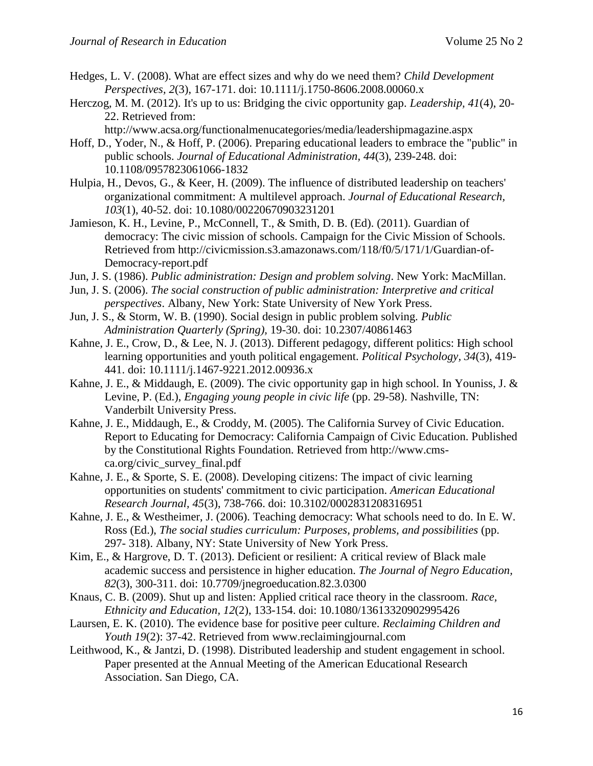- Hedges, L. V. (2008). What are effect sizes and why do we need them? *Child Development Perspectives, 2*(3), 167-171. doi: 10.1111/j.1750-8606.2008.00060.x
- Herczog, M. M. (2012). It's up to us: Bridging the civic opportunity gap. *Leadership, 41*(4), 20- 22. Retrieved from:
	- http://www.acsa.org/functionalmenucategories/media/leadershipmagazine.aspx
- Hoff, D., Yoder, N., & Hoff, P. (2006). Preparing educational leaders to embrace the "public" in public schools. *Journal of Educational Administration, 44*(3), 239-248. doi: 10.1108/0957823061066-1832
- Hulpia, H., Devos, G., & Keer, H. (2009). The influence of distributed leadership on teachers' organizational commitment: A multilevel approach. *Journal of Educational Research, 103*(1), 40-52. doi: 10.1080/00220670903231201
- Jamieson, K. H., Levine, P., McConnell, T., & Smith, D. B. (Ed). (2011). Guardian of democracy: The civic mission of schools. Campaign for the Civic Mission of Schools. Retrieved from [http://civicmission.s3.amazonaws.com/118/f0/5/171/1/Guardian-of-](http://civicmission.s3.amazonaws.com/118/f0/5/171/1/Guardian-of-Democracy-report.pdf)[Democracy-report.pdf](http://civicmission.s3.amazonaws.com/118/f0/5/171/1/Guardian-of-Democracy-report.pdf)
- Jun, J. S. (1986). *Public administration: Design and problem solving*. New York: MacMillan.
- Jun, J. S. (2006). *The social construction of public administration: Interpretive and critical perspectives*. Albany, New York: State University of New York Press.
- Jun, J. S., & Storm, W. B. (1990). Social design in public problem solving. *Public Administration Quarterly (Spring),* 19-30. doi: 10.2307/40861463
- Kahne, J. E., Crow, D., & Lee, N. J. (2013). Different pedagogy, different politics: High school learning opportunities and youth political engagement. *Political Psychology, 34*(3), 419- 441. doi: 10.1111/j.1467-9221.2012.00936.x
- Kahne, J. E., & Middaugh, E. (2009). The civic opportunity gap in high school. In Youniss, J. & Levine, P. (Ed.), *Engaging young people in civic life* (pp. 29-58). Nashville, TN: Vanderbilt University Press.
- Kahne, J. E., Middaugh, E., & Croddy, M. (2005). The California Survey of Civic Education. Report to Educating for Democracy: California Campaign of Civic Education. Published by the Constitutional Rights Foundation. Retrieved from http://www.cmsca.org/civic\_survey\_final.pdf
- Kahne, J. E., & Sporte, S. E. (2008). Developing citizens: The impact of civic learning opportunities on students' commitment to civic participation. *American Educational Research Journal, 45*(3), 738-766. doi: 10.3102/0002831208316951
- Kahne, J. E., & Westheimer, J. (2006). Teaching democracy: What schools need to do. In E. W. Ross (Ed.), *The social studies curriculum: Purposes, problems, and possibilities* (pp. 297- 318). Albany, NY: State University of New York Press.
- Kim, E., & Hargrove, D. T. (2013). Deficient or resilient: A critical review of Black male academic success and persistence in higher education. *The Journal of Negro Education, 82*(3), 300-311. doi: 10.7709/jnegroeducation.82.3.0300
- Knaus, C. B. (2009). Shut up and listen: Applied critical race theory in the classroom. *Race, Ethnicity and Education, 12*(2), 133-154. doi: 10.1080/13613320902995426
- Laursen, E. K. (2010). The evidence base for positive peer culture. *Reclaiming Children and Youth 19*(2): 37-42. Retrieved from [www.reclaimingjournal.com](http://www.reclaimingjournal.com/)
- Leithwood, K., & Jantzi, D. (1998). Distributed leadership and student engagement in school. Paper presented at the Annual Meeting of the American Educational Research Association. San Diego, CA.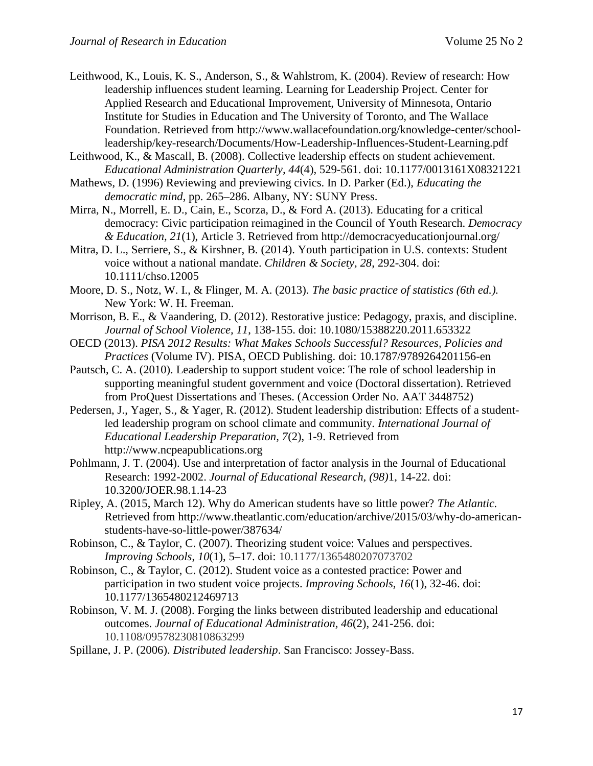- Leithwood, K., Louis, K. S., Anderson, S., & Wahlstrom, K. (2004). Review of research: How leadership influences student learning. Learning for Leadership Project. Center for Applied Research and Educational Improvement, University of Minnesota, Ontario Institute for Studies in Education and The University of Toronto, and The Wallace Foundation. Retrieved from [http://www.wallacefoundation.org/knowledge-center/school](http://www.wallacefoundation.org/knowledge-center/school-leadership/key-research/Documents/How-Leadership-Influences-Student-Learning.pdf)[leadership/key-research/Documents/How-Leadership-Influences-Student-Learning.pdf](http://www.wallacefoundation.org/knowledge-center/school-leadership/key-research/Documents/How-Leadership-Influences-Student-Learning.pdf)
- Leithwood, K., & Mascall, B. (2008). Collective leadership effects on student achievement. *Educational Administration Quarterly, 44*(4), 529-561. doi: 10.1177/0013161X08321221
- Mathews, D. (1996) Reviewing and previewing civics. In D. Parker (Ed.), *Educating the democratic mind*, pp. 265–286. Albany, NY: SUNY Press.
- Mirra, N., Morrell, E. D., Cain, E., Scorza, D., & Ford A. (2013). [Educating](http://democracyeducationjournal.org/home/vol21/iss1/3) for a critical democracy: Civic [participation](http://democracyeducationjournal.org/home/vol21/iss1/3) reimagined in the Council of Youth Research. *Democracy & Education, 21*(1), Article 3. Retrieved from http://democracyeducationjournal.org/
- Mitra, D. L., Serriere, S., & Kirshner, B. (2014). Youth participation in U.S. contexts: Student voice without a national mandate. *Children & Society, 28*, 292-304. doi: 10.1111/chso.12005
- Moore, D. S., Notz, W. I., & Flinger, M. A. (2013). *The basic practice of statistics (6th ed.).* New York: W. H. Freeman.
- Morrison, B. E., & Vaandering, D. (2012). Restorative justice: Pedagogy, praxis, and discipline. *Journal of School Violence, 11*, 138-155. doi: 10.1080/15388220.2011.653322
- OECD (2013). *PISA 2012 Results: What Makes Schools Successful? Resources, Policies and Practices* (Volume IV). PISA, OECD Publishing. doi: 10.1787/9789264201156-en
- Pautsch, C. A. (2010). Leadership to support student voice: The role of school leadership in supporting meaningful student government and voice (Doctoral dissertation). Retrieved from ProQuest Dissertations and Theses. (Accession Order No. AAT 3448752)
- Pedersen, J., Yager, S., & Yager, R. (2012). Student leadership distribution: Effects of a studentled leadership program on school climate and community. *International Journal of Educational Leadership Preparation, 7*(2), 1-9. Retrieved from http://www.ncpeapublications.org
- Pohlmann, J. T. (2004). Use and interpretation of factor analysis in the Journal of Educational Research: 1992-2002. *Journal of Educational Research, (98)*1, 14-22. doi: 10.3200/JOER.98.1.14-23
- Ripley, A. (2015, March 12). Why do American students have so little power? *The Atlantic.*  Retrieved from [http://www.theatlantic.com/education/archive/2015/03/why-do-american](http://www.theatlantic.com/education/archive/2015/03/why-do-american-)students-have-so-little-power/387634/
- Robinson, C., & Taylor, C. (2007). Theorizing student voice: Values and perspectives. *Improving Schools*, *10*(1), 5–17. doi: 10.1177/1365480207073702
- Robinson, C., & Taylor, C. (2012). Student voice as a contested practice: Power and participation in two student voice projects. *Improving Schools, 16*(1), 32-46. doi: 10.1177/1365480212469713
- Robinson, V. M. J. (2008). Forging the links between distributed leadership and educational outcomes. *Journal of Educational Administration, 46*(2), 241-256. doi: 10.1108/09578230810863299
- Spillane, J. P. (2006). *Distributed leadership*. San Francisco: Jossey-Bass.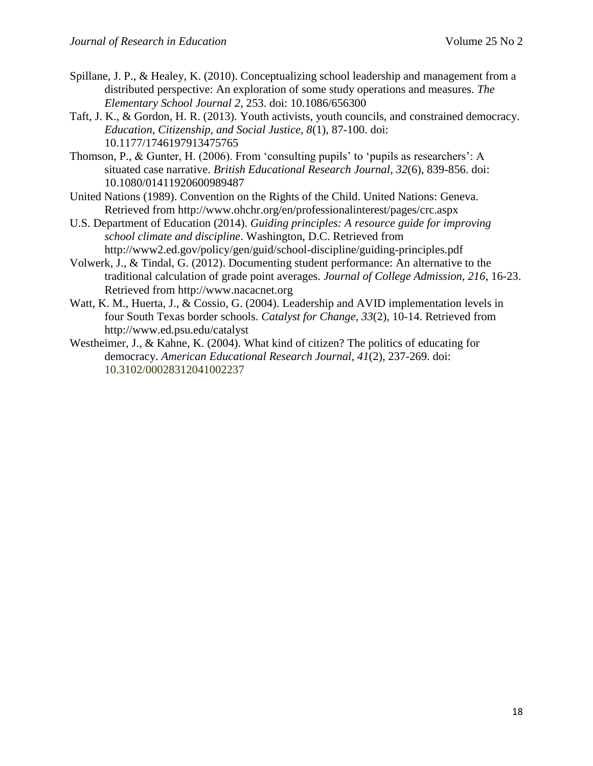- Spillane, J. P., & Healey, K. (2010). Conceptualizing school leadership and management from a distributed perspective: An exploration of some study operations and measures. *The Elementary School Journal 2*, 253. doi: 10.1086/656300
- Taft, J. K., & Gordon, H. R. (2013). Youth activists, youth councils, and constrained democracy. *Education, Citizenship, and Social Justice, 8*(1), 87-100. doi: 10.1177/1746197913475765
- Thomson, P., & Gunter, H. (2006). From 'consulting pupils' to 'pupils as researchers': A situated case narrative. *British Educational Research Journal, 32*(6), 839-856. doi: 10.1080/01411920600989487
- United Nations (1989). Convention on the Rights of the Child. United Nations: Geneva. Retrieved from http://www.ohchr.org/en/professionalinterest/pages/crc.aspx
- U.S. Department of Education (2014). *Guiding principles: A resource guide for improving school climate and discipline*. Washington, D.C. Retrieved from http://www2.ed.gov/policy/gen/guid/school-discipline/guiding-principles.pdf
- Volwerk, J., & Tindal, G. (2012). Documenting student performance: An alternative to the traditional calculation of grade point averages. *Journal of College Admission, 216*, 16-23. Retrieved from http://www.nacacnet.org
- Watt, K. M., Huerta, J., & Cossio, G. (2004). Leadership and AVID implementation levels in four South Texas border schools. *Catalyst for Change, 33*(2), 10-14. Retrieved from http://www.ed.psu.edu/catalyst
- Westheimer, J., & Kahne, K. (2004). What kind of citizen? The politics of educating for democracy. *American Educational Research Journal, 41*(2), 237-269. doi: 10.3102/00028312041002237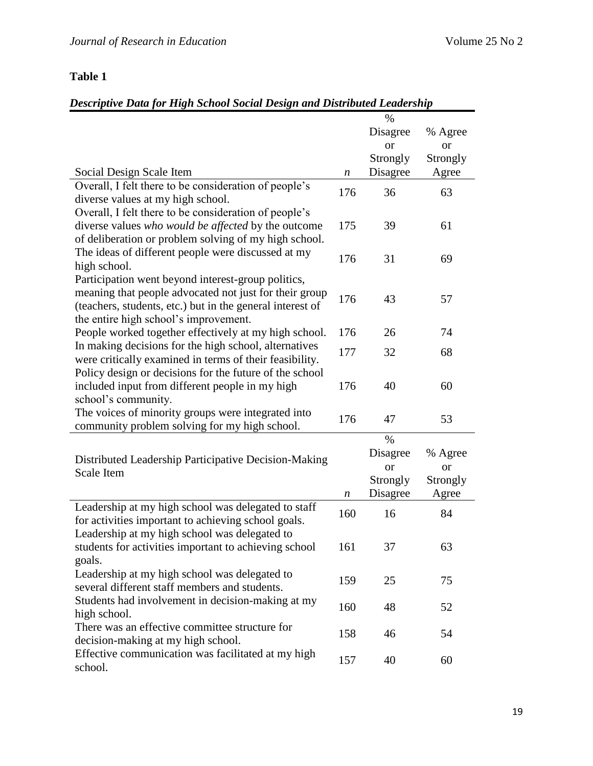# **Table 1**

# *Descriptive Data for High School Social Design and Distributed Leadership*

|                                                                                                                                                                                                                    |     | $\%$                                                  |                                    |
|--------------------------------------------------------------------------------------------------------------------------------------------------------------------------------------------------------------------|-----|-------------------------------------------------------|------------------------------------|
|                                                                                                                                                                                                                    |     | Disagree                                              | % Agree                            |
|                                                                                                                                                                                                                    |     | <sub>or</sub>                                         | <sub>or</sub>                      |
|                                                                                                                                                                                                                    |     | Strongly                                              | Strongly                           |
| Social Design Scale Item                                                                                                                                                                                           | n   | Disagree                                              | Agree                              |
| Overall, I felt there to be consideration of people's<br>diverse values at my high school.                                                                                                                         | 176 | 36                                                    | 63                                 |
| Overall, I felt there to be consideration of people's<br>diverse values who would be affected by the outcome<br>of deliberation or problem solving of my high school.                                              | 175 | 39                                                    | 61                                 |
| The ideas of different people were discussed at my<br>high school.                                                                                                                                                 | 176 | 31                                                    | 69                                 |
| Participation went beyond interest-group politics,<br>meaning that people advocated not just for their group<br>(teachers, students, etc.) but in the general interest of<br>the entire high school's improvement. | 176 | 43                                                    | 57                                 |
| People worked together effectively at my high school.                                                                                                                                                              | 176 | 26                                                    | 74                                 |
| In making decisions for the high school, alternatives<br>were critically examined in terms of their feasibility.                                                                                                   | 177 | 32                                                    | 68                                 |
| Policy design or decisions for the future of the school<br>included input from different people in my high<br>school's community.                                                                                  | 176 | 40                                                    | 60                                 |
| The voices of minority groups were integrated into<br>community problem solving for my high school.                                                                                                                | 176 | 47                                                    | 53                                 |
| Distributed Leadership Participative Decision-Making<br>Scale Item                                                                                                                                                 | n   | $\%$<br>Disagree<br><b>or</b><br>Strongly<br>Disagree | % Agree<br>or<br>Strongly<br>Agree |
| Leadership at my high school was delegated to staff<br>for activities important to achieving school goals.                                                                                                         | 160 | 16                                                    | 84                                 |
| Leadership at my high school was delegated to<br>students for activities important to achieving school<br>goals.                                                                                                   | 161 | 37                                                    | 63                                 |
| Leadership at my high school was delegated to<br>several different staff members and students.                                                                                                                     | 159 | 25                                                    | 75                                 |
| Students had involvement in decision-making at my<br>high school.                                                                                                                                                  | 160 | 48                                                    | 52                                 |
| There was an effective committee structure for<br>decision-making at my high school.                                                                                                                               | 158 | 46                                                    | 54                                 |
| Effective communication was facilitated at my high<br>school.                                                                                                                                                      | 157 | 40                                                    | 60                                 |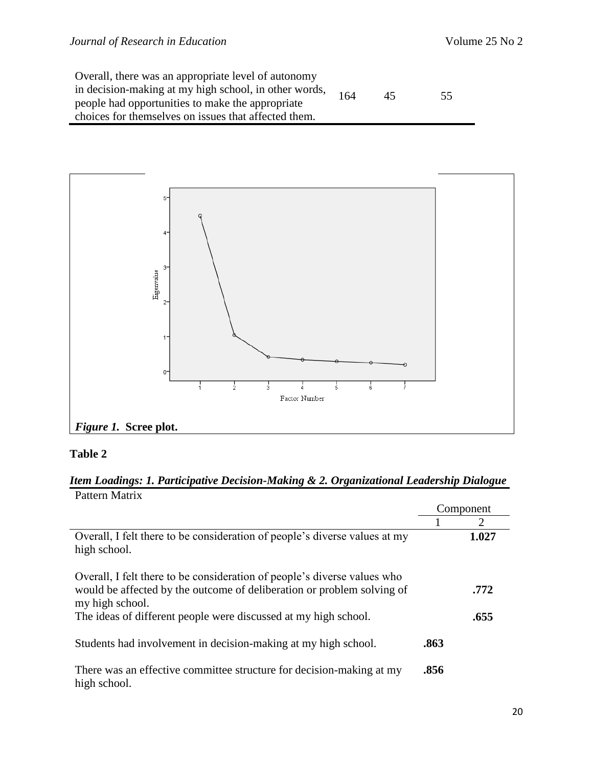| Overall, there was an appropriate level of autonomy   |     |    |    |
|-------------------------------------------------------|-----|----|----|
| in decision-making at my high school, in other words, | 164 | 45 | 55 |
| people had opportunities to make the appropriate      |     |    |    |
| choices for themselves on issues that affected them.  |     |    |    |



# **Table 2**

# *Item Loadings: 1. Participative Decision-Making & 2. Organizational Leadership Dialogue* Pattern Matrix

|                                                                                                                                                                       |      | Component             |
|-----------------------------------------------------------------------------------------------------------------------------------------------------------------------|------|-----------------------|
|                                                                                                                                                                       |      | $\mathcal{D}_{\cdot}$ |
| Overall, I felt there to be consideration of people's diverse values at my<br>high school.                                                                            |      | 1.027                 |
| Overall, I felt there to be consideration of people's diverse values who<br>would be affected by the outcome of deliberation or problem solving of<br>my high school. |      | .772                  |
| The ideas of different people were discussed at my high school.                                                                                                       |      | .655                  |
| Students had involvement in decision-making at my high school.                                                                                                        | .863 |                       |
| There was an effective committee structure for decision-making at my<br>high school.                                                                                  | .856 |                       |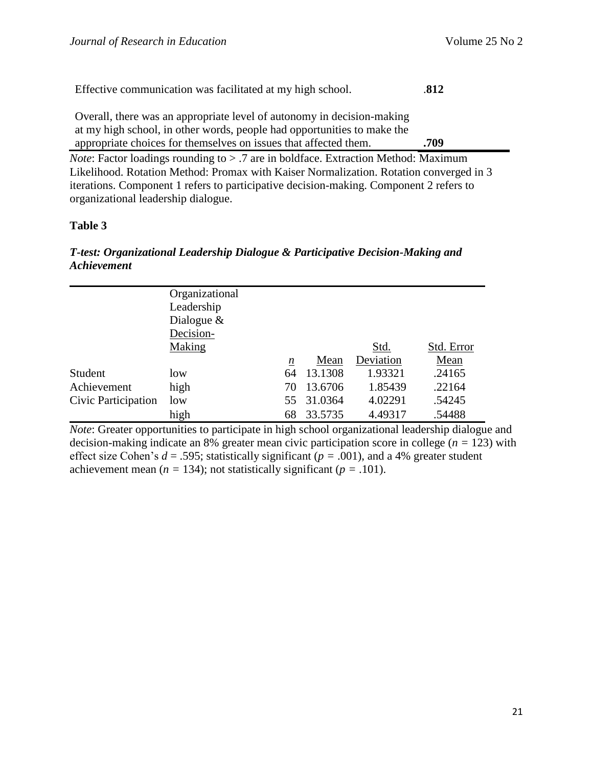| Effective communication was facilitated at my high school.                                                                                                                                                            | .812 |
|-----------------------------------------------------------------------------------------------------------------------------------------------------------------------------------------------------------------------|------|
| Overall, there was an appropriate level of autonomy in decision-making<br>at my high school, in other words, people had opportunities to make the<br>appropriate choices for themselves on issues that affected them. | .709 |
|                                                                                                                                                                                                                       |      |
| <i>Note:</i> Factor loadings rounding to $>$ .7 are in boldface. Extraction Method: Maximum                                                                                                                           |      |
| $\mathbf{r}$ . The contract of $\mathbf{r}$ , and $\mathbf{r}$ , and $\mathbf{r}$ , and $\mathbf{r}$ , and $\mathbf{r}$                                                                                               |      |

Likelihood. Rotation Method: Promax with Kaiser Normalization. Rotation converged in 3 iterations. Component 1 refers to participative decision-making. Component 2 refers to organizational leadership dialogue.

# **Table 3**

# *T-test: Organizational Leadership Dialogue & Participative Decision-Making and Achievement*

|                     | Organizational |    |            |           |            |
|---------------------|----------------|----|------------|-----------|------------|
|                     | Leadership     |    |            |           |            |
|                     | Dialogue $\&$  |    |            |           |            |
|                     | Decision-      |    |            |           |            |
|                     | Making         |    |            | Std.      | Std. Error |
|                     |                | n  | Mean       | Deviation | Mean       |
| Student             | low            | 64 | 13.1308    | 1.93321   | .24165     |
| Achievement         | high           | 70 | 13.6706    | 1.85439   | .22164     |
| Civic Participation | low            |    | 55 31.0364 | 4.02291   | .54245     |
|                     | high           | 68 | 33.5735    | 4.49317   | .54488     |
|                     |                |    |            |           |            |

*Note*: Greater opportunities to participate in high school organizational leadership dialogue and decision-making indicate an 8% greater mean civic participation score in college (*n =* 123) with effect size Cohen's  $d = .595$ ; statistically significant ( $p = .001$ ), and a 4% greater student achievement mean ( $n = 134$ ); not statistically significant ( $p = .101$ ).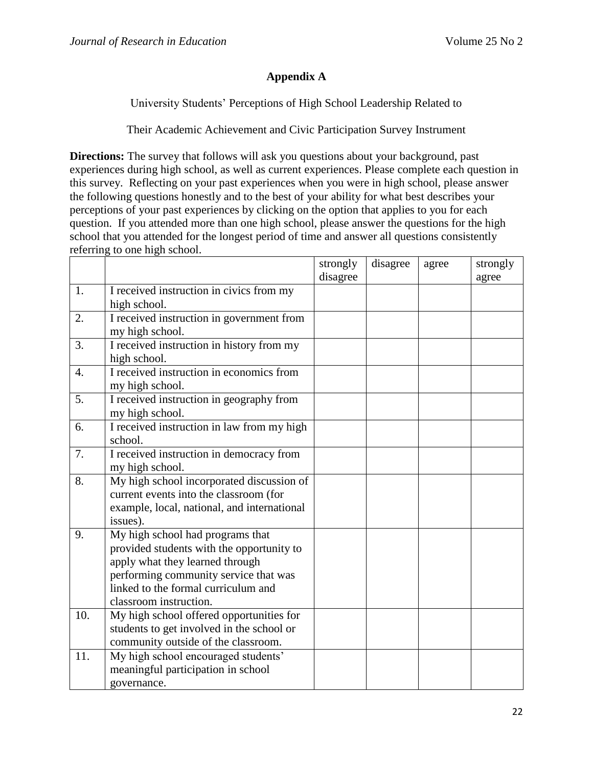# **Appendix A**

University Students' Perceptions of High School Leadership Related to

Their Academic Achievement and Civic Participation Survey Instrument

**Directions:** The survey that follows will ask you questions about your background, past experiences during high school, as well as current experiences. Please complete each question in this survey. Reflecting on your past experiences when you were in high school, please answer the following questions honestly and to the best of your ability for what best describes your perceptions of your past experiences by clicking on the option that applies to you for each question. If you attended more than one high school, please answer the questions for the high school that you attended for the longest period of time and answer all questions consistently referring to one high school.

|                  |                                                                                                                                                                                                                            | strongly<br>disagree | disagree | agree | strongly<br>agree |
|------------------|----------------------------------------------------------------------------------------------------------------------------------------------------------------------------------------------------------------------------|----------------------|----------|-------|-------------------|
| 1.               | I received instruction in civics from my<br>high school.                                                                                                                                                                   |                      |          |       |                   |
| 2.               | I received instruction in government from<br>my high school.                                                                                                                                                               |                      |          |       |                   |
| 3.               | I received instruction in history from my<br>high school.                                                                                                                                                                  |                      |          |       |                   |
| $\overline{4}$ . | I received instruction in economics from<br>my high school.                                                                                                                                                                |                      |          |       |                   |
| 5.               | I received instruction in geography from<br>my high school.                                                                                                                                                                |                      |          |       |                   |
| 6.               | I received instruction in law from my high<br>school.                                                                                                                                                                      |                      |          |       |                   |
| 7.               | I received instruction in democracy from<br>my high school.                                                                                                                                                                |                      |          |       |                   |
| 8.               | My high school incorporated discussion of<br>current events into the classroom (for<br>example, local, national, and international<br>issues).                                                                             |                      |          |       |                   |
| 9.               | My high school had programs that<br>provided students with the opportunity to<br>apply what they learned through<br>performing community service that was<br>linked to the formal curriculum and<br>classroom instruction. |                      |          |       |                   |
| 10.              | My high school offered opportunities for<br>students to get involved in the school or<br>community outside of the classroom.                                                                                               |                      |          |       |                   |
| 11.              | My high school encouraged students'<br>meaningful participation in school<br>governance.                                                                                                                                   |                      |          |       |                   |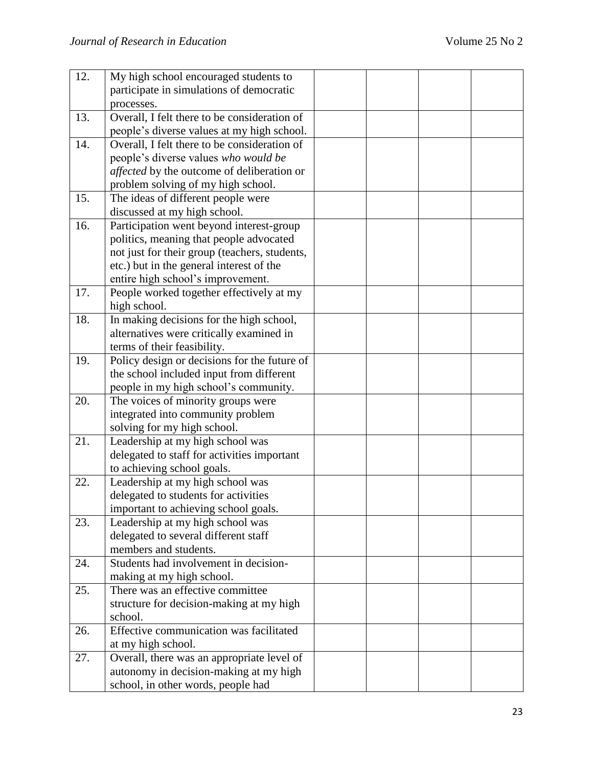| 12. | My high school encouraged students to                                                |  |  |
|-----|--------------------------------------------------------------------------------------|--|--|
|     | participate in simulations of democratic                                             |  |  |
|     | processes.                                                                           |  |  |
| 13. | Overall, I felt there to be consideration of                                         |  |  |
|     | people's diverse values at my high school.                                           |  |  |
| 14. | Overall, I felt there to be consideration of                                         |  |  |
|     | people's diverse values who would be                                                 |  |  |
|     | <i>affected</i> by the outcome of deliberation or                                    |  |  |
|     | problem solving of my high school.                                                   |  |  |
| 15. | The ideas of different people were                                                   |  |  |
|     | discussed at my high school.                                                         |  |  |
| 16. | Participation went beyond interest-group                                             |  |  |
|     | politics, meaning that people advocated                                              |  |  |
|     | not just for their group (teachers, students,                                        |  |  |
|     | etc.) but in the general interest of the                                             |  |  |
|     | entire high school's improvement.                                                    |  |  |
| 17. | People worked together effectively at my                                             |  |  |
|     | high school.                                                                         |  |  |
| 18. | In making decisions for the high school,                                             |  |  |
|     | alternatives were critically examined in                                             |  |  |
|     | terms of their feasibility.                                                          |  |  |
| 19. | Policy design or decisions for the future of                                         |  |  |
|     | the school included input from different                                             |  |  |
|     | people in my high school's community.                                                |  |  |
| 20. | The voices of minority groups were                                                   |  |  |
|     | integrated into community problem                                                    |  |  |
|     | solving for my high school.                                                          |  |  |
| 21. | Leadership at my high school was                                                     |  |  |
|     | delegated to staff for activities important                                          |  |  |
|     | to achieving school goals.                                                           |  |  |
| 22. | Leadership at my high school was                                                     |  |  |
|     | delegated to students for activities                                                 |  |  |
|     | important to achieving school goals.                                                 |  |  |
| 23. | Leadership at my high school was                                                     |  |  |
|     | delegated to several different staff<br>members and students.                        |  |  |
|     | Students had involvement in decision-                                                |  |  |
| 24. |                                                                                      |  |  |
|     | making at my high school.                                                            |  |  |
| 25. | There was an effective committee                                                     |  |  |
|     | structure for decision-making at my high                                             |  |  |
|     | school.<br>Effective communication was facilitated                                   |  |  |
| 26. |                                                                                      |  |  |
| 27. | at my high school.                                                                   |  |  |
|     | Overall, there was an appropriate level of<br>autonomy in decision-making at my high |  |  |
|     |                                                                                      |  |  |
|     | school, in other words, people had                                                   |  |  |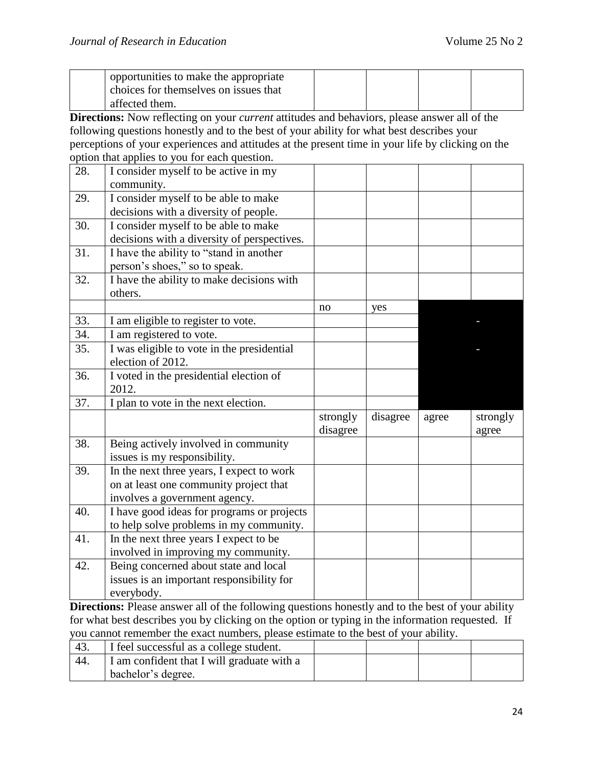| opportunities to make the appropriate |  |  |
|---------------------------------------|--|--|
| choices for themselves on issues that |  |  |
| affected them.                        |  |  |

**Directions:** Now reflecting on your *current* attitudes and behaviors, please answer all of the following questions honestly and to the best of your ability for what best describes your perceptions of your experiences and attitudes at the present time in your life by clicking on the option that applies to you for each question.

| 28. | $\mathbf{r}$ respectively.<br>. <i>.</i> .<br>I consider myself to be active in my |          |          |       |          |
|-----|------------------------------------------------------------------------------------|----------|----------|-------|----------|
|     | community.                                                                         |          |          |       |          |
| 29. | I consider myself to be able to make                                               |          |          |       |          |
|     | decisions with a diversity of people.                                              |          |          |       |          |
| 30. | I consider myself to be able to make                                               |          |          |       |          |
|     | decisions with a diversity of perspectives.                                        |          |          |       |          |
| 31. | I have the ability to "stand in another                                            |          |          |       |          |
|     | person's shoes," so to speak.                                                      |          |          |       |          |
| 32. | I have the ability to make decisions with                                          |          |          |       |          |
|     | others.                                                                            |          |          |       |          |
|     |                                                                                    | no       | yes      |       |          |
| 33. | I am eligible to register to vote.                                                 |          |          |       |          |
| 34. | I am registered to vote.                                                           |          |          |       |          |
| 35. | I was eligible to vote in the presidential                                         |          |          |       |          |
|     | election of 2012.                                                                  |          |          |       |          |
| 36. | I voted in the presidential election of                                            |          |          |       |          |
|     | 2012.                                                                              |          |          |       |          |
| 37. | I plan to vote in the next election.                                               |          |          |       |          |
|     |                                                                                    | strongly | disagree | agree | strongly |
|     |                                                                                    | disagree |          |       | agree    |
| 38. | Being actively involved in community                                               |          |          |       |          |
|     | issues is my responsibility.                                                       |          |          |       |          |
| 39. | In the next three years, I expect to work                                          |          |          |       |          |
|     | on at least one community project that                                             |          |          |       |          |
|     | involves a government agency.                                                      |          |          |       |          |
| 40. | I have good ideas for programs or projects                                         |          |          |       |          |
|     | to help solve problems in my community.                                            |          |          |       |          |
| 41. | In the next three years I expect to be                                             |          |          |       |          |
|     | involved in improving my community.                                                |          |          |       |          |
| 42. | Being concerned about state and local                                              |          |          |       |          |
|     | issues is an important responsibility for                                          |          |          |       |          |
|     | everybody.                                                                         |          |          |       |          |

**Directions:** Please answer all of the following questions honestly and to the best of your ability for what best describes you by clicking on the option or typing in the information requested. If you cannot remember the exact numbers, please estimate to the best of your ability.

| 43. | I feel successful as a college student.    |  |  |
|-----|--------------------------------------------|--|--|
| 44. | I am confident that I will graduate with a |  |  |
|     | bachelor's degree.                         |  |  |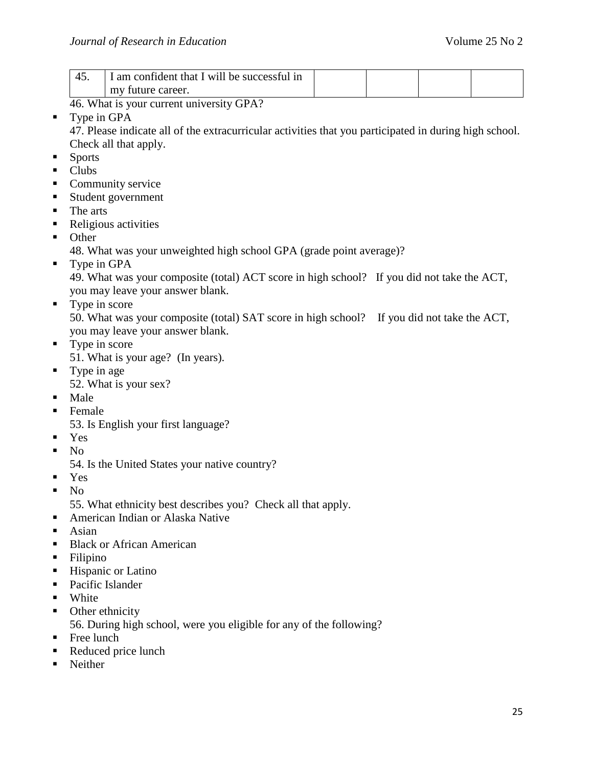| am confident that I will be successful in |  |  |
|-------------------------------------------|--|--|
| my future career.                         |  |  |

46. What is your current university GPA?

**Type in GPA** 

47. Please indicate all of the extracurricular activities that you participated in during high school. Check all that apply.

- **Sports**
- Clubs
- Community service
- Student government
- The arts
- Religious activities
- **Other**

48. What was your unweighted high school GPA (grade point average)?

**Type in GPA** 

49. What was your composite (total) ACT score in high school? If you did not take the ACT, you may leave your answer blank.

• Type in score

50. What was your composite (total) SAT score in high school? If you did not take the ACT, you may leave your answer blank.

- Type in score 51. What is your age? (In years).
- Type in age 52. What is your sex?
	-
- Male
- **Female** 
	- 53. Is English your first language?
- Yes
- $\blacksquare$  No
	- 54. Is the United States your native country?
- Yes
- $\blacksquare$  No

55. What ethnicity best describes you? Check all that apply.

- American Indian or Alaska Native
- $-$ Asian
- **Black or African American**
- Filipino
- Hispanic or Latino
- Pacific Islander
- **White**
- Other ethnicity

56. During high school, were you eligible for any of the following?

- Free lunch
- Reduced price lunch
- Neither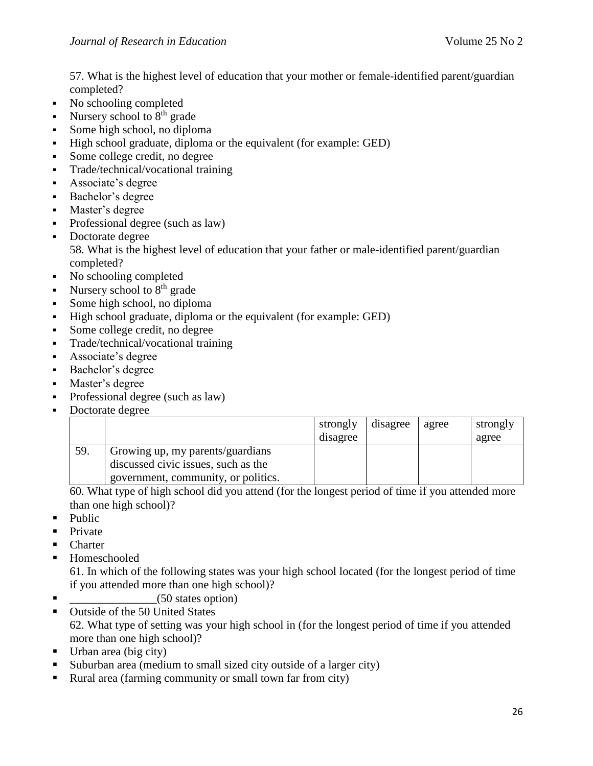57. What is the highest level of education that your mother or female-identified parent/guardian completed?

- No schooling completed
- Nursery school to  $8<sup>th</sup>$  grade
- Some high school, no diploma
- High school graduate, diploma or the equivalent (for example: GED)
- Some college credit, no degree
- Trade/technical/vocational training
- Associate's degree
- Bachelor's degree
- Master's degree
- Professional degree (such as law)
- Doctorate degree 58. What is the highest level of education that your father or male-identified parent/guardian completed?
- No schooling completed
- Nursery school to  $8<sup>th</sup>$  grade
- Some high school, no diploma
- High school graduate, diploma or the equivalent (for example: GED)
- Some college credit, no degree
- Trade/technical/vocational training
- Associate's degree
- Bachelor's degree
- Master's degree
- Professional degree (such as law)
- Doctorate degree

|     |                                                                         | strongly<br>disagree | disagree | agree | strongly<br>agree |
|-----|-------------------------------------------------------------------------|----------------------|----------|-------|-------------------|
| 59. | Growing up, my parents/guardians<br>discussed civic issues, such as the |                      |          |       |                   |
|     | government, community, or politics.                                     |                      |          |       |                   |

60. What type of high school did you attend (for the longest period of time if you attended more than one high school)?

- $\n **Public**\n$
- Private
- **Charter**
- Homeschooled

61. In which of the following states was your high school located (for the longest period of time if you attended more than one high school)?

- \_\_\_\_\_\_\_\_\_\_\_\_\_\_\_(50 states option)
- Outside of the 50 United States 62. What type of setting was your high school in (for the longest period of time if you attended more than one high school)?
- $\blacksquare$  Urban area (big city)
- Suburban area (medium to small sized city outside of a larger city)
- Rural area (farming community or small town far from city)